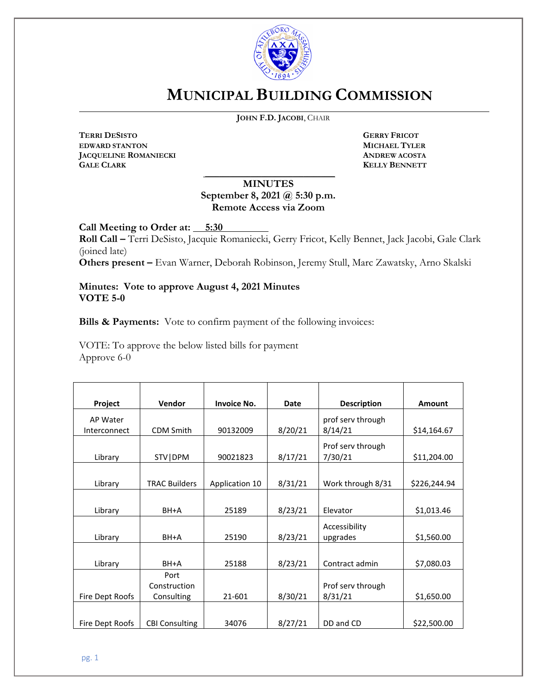

# **MUNICIPAL BUILDING COMMISSION**

**JOHN F.D. JACOBI**, CHAIR

**TERRI DESISTO GERRY FRICOT EDWARD STANTON MICHAEL TYLER JACQUELINE ROMANIECKI ANDREW ACOSTA**

 $\overline{a}$ 

**KELLY BENNETT** 

## **MINUTES September 8, 2021 @ 5:30 p.m. Remote Access via Zoom**

\_\_\_\_\_\_\_\_\_\_\_\_\_\_\_\_\_\_\_\_\_\_\_\_\_\_\_\_\_\_\_\_\_\_\_\_\_

**Call Meeting to Order at: 5:30**

**Roll Call –** Terri DeSisto, Jacquie Romaniecki, Gerry Fricot, Kelly Bennet, Jack Jacobi, Gale Clark (joined late)

**Others present –** Evan Warner, Deborah Robinson, Jeremy Stull, Marc Zawatsky, Arno Skalski

**Minutes: Vote to approve August 4, 2021 Minutes VOTE 5-0**

**Bills & Payments:** Vote to confirm payment of the following invoices:

VOTE: To approve the below listed bills for payment Approve 6-0

| Project                  | Vendor                             | <b>Invoice No.</b> | Date    | <b>Description</b>           | Amount       |
|--------------------------|------------------------------------|--------------------|---------|------------------------------|--------------|
| AP Water<br>Interconnect | <b>CDM Smith</b>                   | 90132009           | 8/20/21 | prof serv through<br>8/14/21 | \$14,164.67  |
| Library                  | STV   DPM                          | 90021823           | 8/17/21 | Prof serv through<br>7/30/21 | \$11,204.00  |
| Library                  | <b>TRAC Builders</b>               | Application 10     | 8/31/21 | Work through 8/31            | \$226,244.94 |
| Library                  | $BH+A$                             | 25189              | 8/23/21 | Elevator                     | \$1,013.46   |
| Library                  | BH+A                               | 25190              | 8/23/21 | Accessibility<br>upgrades    | \$1,560.00   |
| Library                  | BH+A                               | 25188              | 8/23/21 | Contract admin               | \$7,080.03   |
| Fire Dept Roofs          | Port<br>Construction<br>Consulting | 21-601             | 8/30/21 | Prof serv through<br>8/31/21 | \$1,650.00   |
| Fire Dept Roofs          | <b>CBI Consulting</b>              | 34076              | 8/27/21 | DD and CD                    | \$22,500.00  |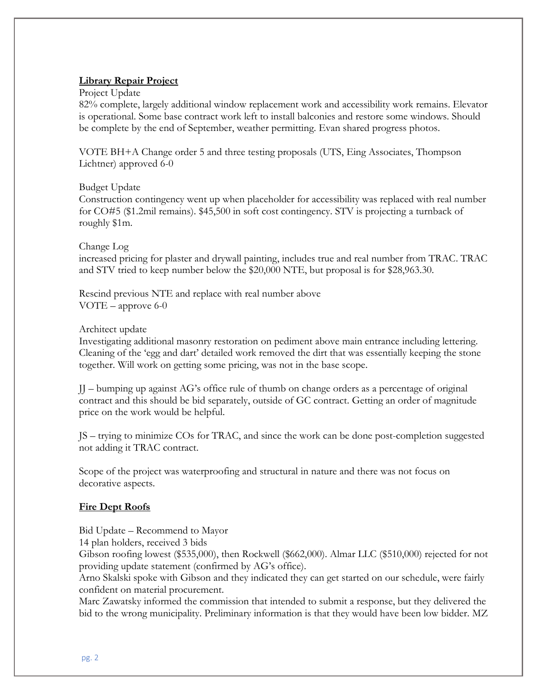#### **Library Repair Project**

Project Update

82% complete, largely additional window replacement work and accessibility work remains. Elevator is operational. Some base contract work left to install balconies and restore some windows. Should be complete by the end of September, weather permitting. Evan shared progress photos.

VOTE BH+A Change order 5 and three testing proposals (UTS, Eing Associates, Thompson Lichtner) approved 6-0

#### Budget Update

Construction contingency went up when placeholder for accessibility was replaced with real number for CO#5 (\$1.2mil remains). \$45,500 in soft cost contingency. STV is projecting a turnback of roughly \$1m.

#### Change Log

increased pricing for plaster and drywall painting, includes true and real number from TRAC. TRAC and STV tried to keep number below the \$20,000 NTE, but proposal is for \$28,963.30.

Rescind previous NTE and replace with real number above VOTE – approve 6-0

#### Architect update

Investigating additional masonry restoration on pediment above main entrance including lettering. Cleaning of the 'egg and dart' detailed work removed the dirt that was essentially keeping the stone together. Will work on getting some pricing, was not in the base scope.

JJ – bumping up against AG's office rule of thumb on change orders as a percentage of original contract and this should be bid separately, outside of GC contract. Getting an order of magnitude price on the work would be helpful.

JS – trying to minimize COs for TRAC, and since the work can be done post-completion suggested not adding it TRAC contract.

Scope of the project was waterproofing and structural in nature and there was not focus on decorative aspects.

#### **Fire Dept Roofs**

Bid Update – Recommend to Mayor

14 plan holders, received 3 bids

Gibson roofing lowest (\$535,000), then Rockwell (\$662,000). Almar LLC (\$510,000) rejected for not providing update statement (confirmed by AG's office).

Arno Skalski spoke with Gibson and they indicated they can get started on our schedule, were fairly confident on material procurement.

Marc Zawatsky informed the commission that intended to submit a response, but they delivered the bid to the wrong municipality. Preliminary information is that they would have been low bidder. MZ